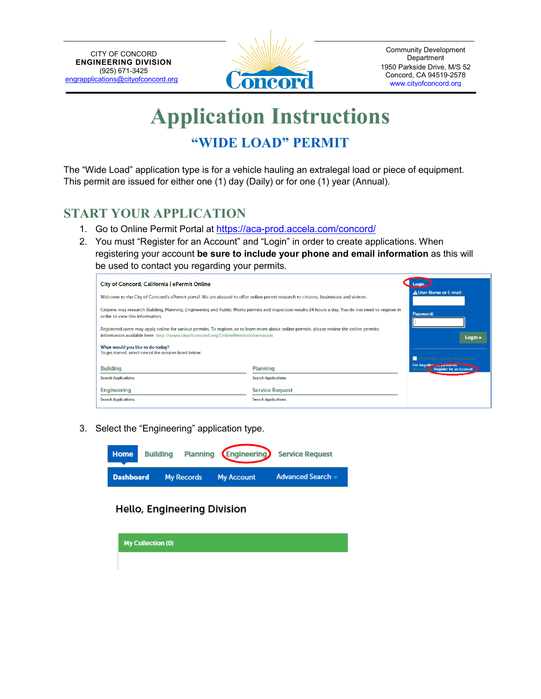

# **Application Instructions "WIDE LOAD" PERMIT**

The "Wide Load" application type is for a vehicle hauling an extralegal load or piece of equipment. This permit are issued for either one (1) day (Daily) or for one (1) year (Annual).

# **START YOUR APPLICATION**

- 1. Go to Online Permit Portal at [https://aca-prod.accela.com/concord/](https://aca-prod.accela.com/concord/Default.aspx)
- 2. You must "Register for an Account" and "Login" in order to create applications. When registering your account **be sure to include your phone and email information** as this will be used to contact you regarding your permits.

| City of Concord, California   ePermit Online                                                                                                                                                                                     |                            | . Login                                                    |
|----------------------------------------------------------------------------------------------------------------------------------------------------------------------------------------------------------------------------------|----------------------------|------------------------------------------------------------|
| Welcome to the City of Concord's ePermit portal. We are pleased to offer online permit research to citizens, businesses and visitors.                                                                                            |                            | A User Name or E-mail:                                     |
| Citizens may research Building, Planning, Engineering and Public Works permits and inspection results 24 hours a day. You do not need to register in<br>order to view this information.                                          |                            | Password:                                                  |
| Registered users may apply online for various permits. To register, or to learn more about online permits, please review the online permits<br>information available here: http://www.cityofconcord.org/OnlinePermitsInformation |                            | Login »                                                    |
| What would you like to do today?<br>To get started, select one of the services listed below:                                                                                                                                     |                            |                                                            |
|                                                                                                                                                                                                                                  |                            | Remember me on this computer                               |
| <b>Building</b>                                                                                                                                                                                                                  | Planning                   | Tve forgotter , password<br><b>Register for an Account</b> |
| <b>Search Applications</b>                                                                                                                                                                                                       | <b>Search Applications</b> |                                                            |
| Engineering                                                                                                                                                                                                                      | <b>Service Request</b>     |                                                            |
| <b>Search Applications</b>                                                                                                                                                                                                       | <b>Search Applications</b> |                                                            |

3. Select the "Engineering" application type.



Hello, Engineering Division

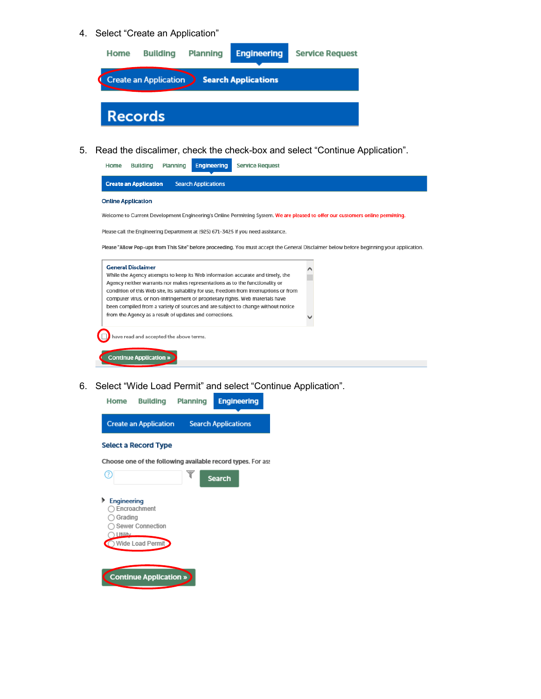#### 4. Select "Create an Application"



5. Read the discalimer, check the check-box and select "Continue Application".



6. Select "Wide Load Permit" and select "Continue Application".

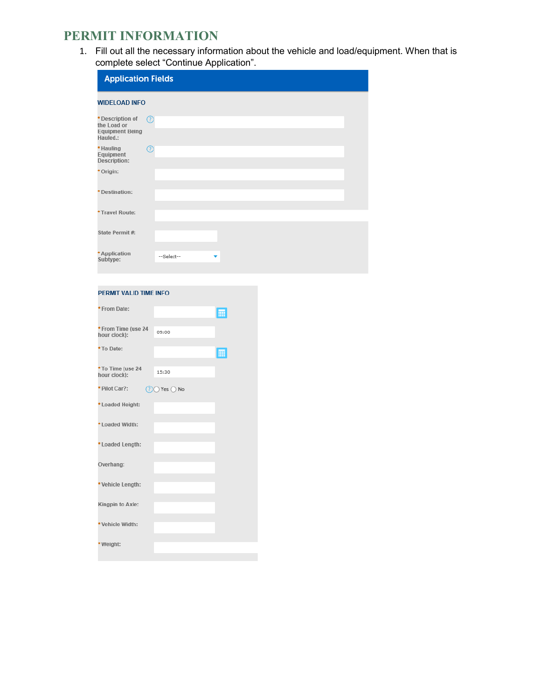### **PERMIT INFORMATION**

1. Fill out all the necessary information about the vehicle and load/equipment. When that is complete select "Continue Application".

| <b>Application Fields</b>                                             |                 |
|-----------------------------------------------------------------------|-----------------|
| <b>WIDELOAD INFO</b>                                                  |                 |
| * Description of<br>the Load or<br><b>Equipment Being</b><br>Hauled.: | $\circledR$     |
| * Hauling<br>Equipment<br>Description:                                | ℗               |
| * Origin:                                                             |                 |
| *Destination:                                                         |                 |
| *Travel Route:                                                        |                 |
| State Permit #:                                                       |                 |
| * Application<br>Subtype:                                             | --Select--<br>▼ |

#### PERMIT VALID TIME INFO

| * From Date:                        |                         | 僵 |
|-------------------------------------|-------------------------|---|
| * From Time (use 24<br>hour clock): | 09:00                   |   |
| *To Date:                           |                         | E |
| *To Time (use 24<br>hour clock):    | 15:30                   |   |
| * Pilot Car?:                       | $(?)$ Yes $\bigcirc$ No |   |
| *Loaded Height:                     |                         |   |
| * Loaded Width:                     |                         |   |
| * Loaded Length:                    |                         |   |
| Overhang:                           |                         |   |
| *Vehicle Length:                    |                         |   |
| Kingpin to Axle:                    |                         |   |
| *Vehicle Width:                     |                         |   |
| *Weight:                            |                         |   |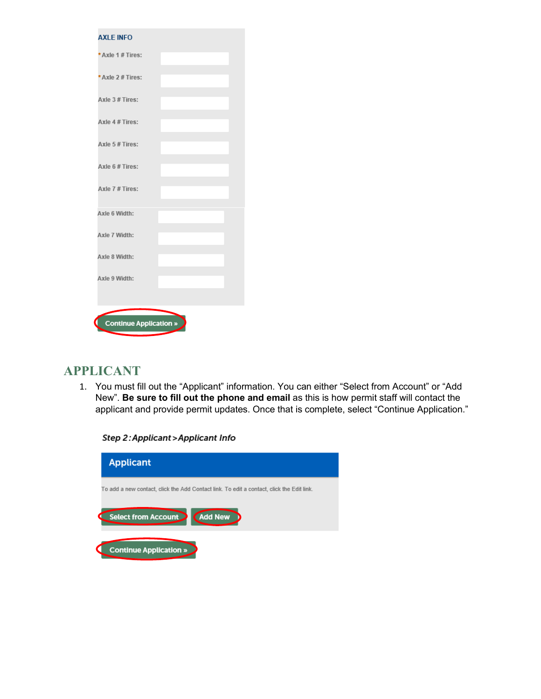| *Axle 1 # Tires:<br>* Axle 2 # Tires:<br>Axle 3 # Tires:<br>Axle 4 # Tires:<br>Axle 5 # Tires:<br>Axle 6 # Tires: |  |  |
|-------------------------------------------------------------------------------------------------------------------|--|--|
|                                                                                                                   |  |  |
|                                                                                                                   |  |  |
|                                                                                                                   |  |  |
|                                                                                                                   |  |  |
|                                                                                                                   |  |  |
|                                                                                                                   |  |  |
| Axle 7 # Tires:                                                                                                   |  |  |
| Axle 6 Width:                                                                                                     |  |  |
| Axle 7 Width:                                                                                                     |  |  |
| Axle 8 Width:                                                                                                     |  |  |
| Axle 9 Width:                                                                                                     |  |  |
|                                                                                                                   |  |  |
| <b>Continue Application »</b>                                                                                     |  |  |

# **APPLICANT**

1. You must fill out the "Applicant" information. You can either "Select from Account" or "Add New". **Be sure to fill out the phone and email** as this is how permit staff will contact the applicant and provide permit updates. Once that is complete, select "Continue Application."

Step 2: Applicant > Applicant Info

| <b>Applicant</b>                                                                          |
|-------------------------------------------------------------------------------------------|
| To add a new contact, click the Add Contact link. To edit a contact, click the Edit link. |
| <b>Add New</b><br><b>Select from Account</b>                                              |
| <b>Continue Application »</b>                                                             |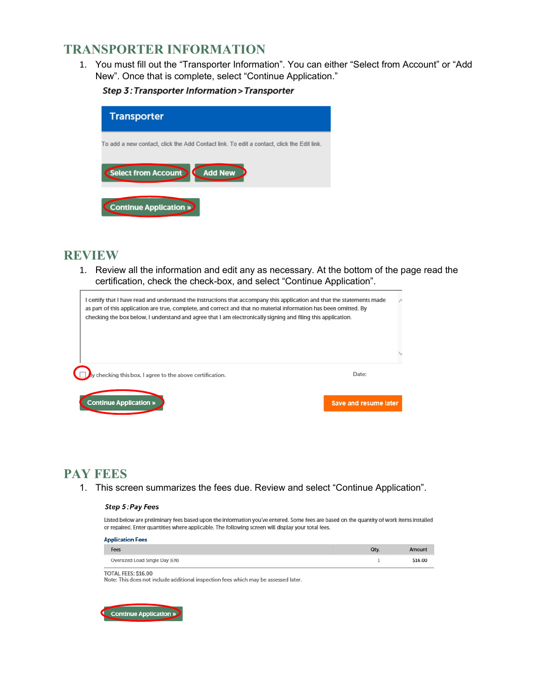### **TRANSPORTER INFORMATION**

1. You must fill out the "Transporter Information". You can either "Select from Account" or "Add New". Once that is complete, select "Continue Application."

Step 3: Transporter Information > Transporter

| <b>Transporter</b>                                                                        |
|-------------------------------------------------------------------------------------------|
| To add a new contact, click the Add Contact link. To edit a contact, click the Edit link. |
| <b>Add New</b><br>Select from Account                                                     |
| Continue Application »                                                                    |

### **REVIEW**

1. Review all the information and edit any as necessary. At the bottom of the page read the certification, check the check-box, and select "Continue Application".

| I certify that I have read and understand the instructions that accompany this application and that the statements made<br>as part of this application are true, complete, and correct and that no material information has been omitted. By<br>checking the box below, I understand and agree that I am electronically signing and filing this application. |  |
|--------------------------------------------------------------------------------------------------------------------------------------------------------------------------------------------------------------------------------------------------------------------------------------------------------------------------------------------------------------|--|
|                                                                                                                                                                                                                                                                                                                                                              |  |
| Date:<br>checking this box, I agree to the above certification.<br><b>Continue Application »</b><br><b>Save and resume later</b>                                                                                                                                                                                                                             |  |

## **PAY FEES**

1. This screen summarizes the fees due. Review and select "Continue Application".

#### Step 5: Pay Fees

Listed below are preliminary fees based upon the information you've entered. Some fees are based on the quantity of work items installed or repaired. Enter quantities where applicable. The following screen will display your total fees.

| <b>Application Fees</b>        |      |         |
|--------------------------------|------|---------|
| Fees                           | Qtv. | Amount  |
| Oversized Load Single Day (EN) |      | \$16.00 |

TOTAL FEES: \$16.00

Note: This does not include additional inspection fees which may be assessed later.